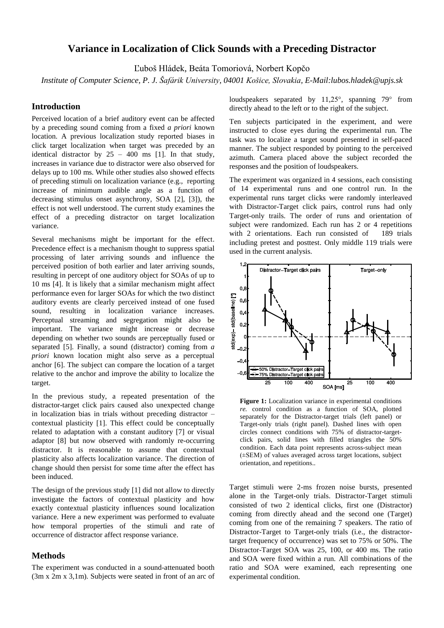## **Variance in Localization of Click Sounds with a Preceding Distractor**

Ľuboš Hládek, Beáta Tomoriová, Norbert Kopčo

*Institute of Computer Science, P. J. Šafárik University, 04001 Košice, Slovakia, E-Mail:lubos.hladek@upjs.sk*

#### **Introduction**

Perceived location of a brief auditory event can be affected by a preceding sound coming from a fixed *a priori* known location. A previous localization study reported biases in click target localization when target was preceded by an identical distractor by  $25 - 400$  ms [1]. In that study, increases in variance due to distractor were also observed for delays up to 100 ms. While other studies also showed effects of preceding stimuli on localization variance (e.g., reporting increase of minimum audible angle as a function of decreasing stimulus onset asynchrony, SOA [2], [3]), the effect is not well understood. The current study examines the effect of a preceding distractor on target localization variance.

Several mechanisms might be important for the effect. Precedence effect is a mechanism thought to suppress spatial processing of later arriving sounds and influence the perceived position of both earlier and later arriving sounds, resulting in percept of one auditory object for SOAs of up to 10 ms [4]. It is likely that a similar mechanism might affect performance even for larger SOAs for which the two distinct auditory events are clearly perceived instead of one fused sound, resulting in localization variance increases. Perceptual streaming and segregation might also be important. The variance might increase or decrease depending on whether two sounds are perceptually fused or separated [5]. Finally, a sound (distractor) coming from *a priori* known location might also serve as a perceptual anchor [6]. The subject can compare the location of a target relative to the anchor and improve the ability to localize the target.

In the previous study, a repeated presentation of the distractor-target click pairs caused also unexpected change in localization bias in trials without preceding distractor – contextual plasticity [1]. This effect could be conceptually related to adaptation with a constant auditory [7] or visual adaptor [8] but now observed with randomly re-occurring distractor. It is reasonable to assume that contextual plasticity also affects localization variance. The direction of change should then persist for some time after the effect has been induced.

The design of the previous study [1] did not allow to directly investigate the factors of contextual plasticity and how exactly contextual plasticity influences sound localization variance. Here a new experiment was performed to evaluate how temporal properties of the stimuli and rate of occurrence of distractor affect response variance.

#### **Methods**

The experiment was conducted in a sound-attenuated booth (3m x 2m x 3,1m). Subjects were seated in front of an arc of loudspeakers separated by 11,25°, spanning 79° from directly ahead to the left or to the right of the subject.

Ten subjects participated in the experiment, and were instructed to close eyes during the experimental run. The task was to localize a target sound presented in self-paced manner. The subject responded by pointing to the perceived azimuth. Camera placed above the subject recorded the responses and the position of loudspeakers.

The experiment was organized in 4 sessions, each consisting of 14 experimental runs and one control run. In the experimental runs target clicks were randomly interleaved with Distractor-Target click pairs, control runs had only Target-only trails. The order of runs and orientation of subject were randomized. Each run has 2 or 4 repetitions with 2 orientations. Each run consisted of 189 trials including pretest and posttest. Only middle 119 trials were used in the current analysis.



**Figure 1:** Localization variance in experimental conditions *re.* control condition as a function of SOA, plotted separately for the Distractor-target trials (left panel) or Target-only trials (right panel). Dashed lines with open circles connect conditions with 75% of distractor-targetclick pairs, solid lines with filled triangles the 50% condition. Each data point represents across-subject mean (±SEM) of values averaged across target locations, subject orientation, and repetitions..

Target stimuli were 2-ms frozen noise bursts, presented alone in the Target-only trials. Distractor-Target stimuli consisted of two 2 identical clicks, first one (Distractor) coming from directly ahead and the second one (Target) coming from one of the remaining 7 speakers. The ratio of Distractor-Target to Target-only trials (i.e., the distractortarget frequency of occurrence) was set to 75% or 50%. The Distractor-Target SOA was 25, 100, or 400 ms. The ratio and SOA were fixed within a run. All combinations of the ratio and SOA were examined, each representing one experimental condition.